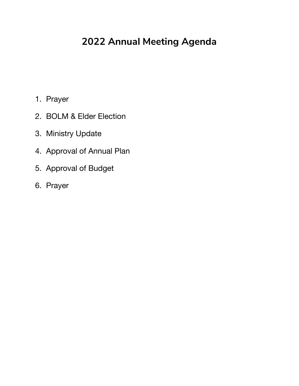### **2022 Annual Meeting Agenda**

- 1. Prayer
- 2. BOLM & Elder Election
- 3. Ministry Update
- 4. Approval of Annual Plan
- 5. Approval of Budget
- 6. Prayer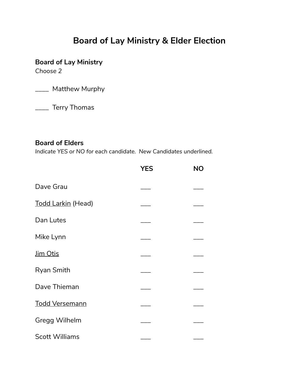### **Board of Lay Ministry & Elder Election**

### **Board of Lay Ministry**

*Choose 2*

\_\_\_\_ Matthew Murphy

\_\_\_\_ Terry Thomas

### **Board of Elders**

*Indicate YES or NO for each candidate. New Candidates underlined.*

|                       | YES | <b>NO</b> |
|-----------------------|-----|-----------|
| Dave Grau             |     |           |
| Todd Larkin (Head)    |     |           |
| Dan Lutes             |     |           |
| Mike Lynn             |     |           |
| <u>Jim Otis</u>       |     |           |
| <b>Ryan Smith</b>     |     |           |
| Dave Thieman          |     |           |
| <b>Todd Versemann</b> |     |           |
| Gregg Wilhelm         |     |           |
| <b>Scott Williams</b> |     |           |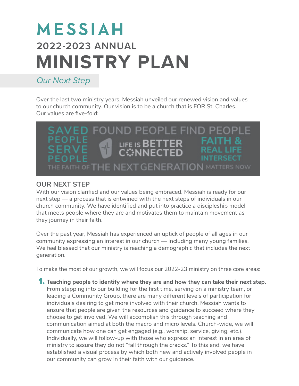## MESSIAH **2022-2023 ANNUAL MINISTRY PLAN**

### *Our Next Step*

Over the last two ministry years, Messiah unveiled our renewed vision and values to our church community. Our vision is to be a church that is FOR St. Charles. Our values are five-fold:

### SAVED FOUND PEOPLE FIND PEOPLE PFOPLF **FAITH &** LIFE IS BETTER REAL LIFF **CONNECTED** THE FAITH OF THE NEXT GENERATION MATTERS NOW

### **OUR NEXT STEP**

With our vision clarified and our values being embraced, Messiah is ready for our next step — a process that is entwined with the next steps of individuals in our church community. We have identified and put into practice a discipleship model that meets people where they are and motivates them to maintain movement as they journey in their faith.

Over the past year, Messiah has experienced an uptick of people of all ages in our community expressing an interest in our church — including many young families. We feel blessed that our ministry is reaching a demographic that includes the next generation.

To make the most of our growth, we will focus our 2022-23 ministry on three core areas:

1. **Teaching people to identify where they are and how they can take their next step.**  From stepping into our building for the first time, serving on a ministry team, or leading a Community Group, there are many different levels of participation for individuals desiring to get more involved with their church. Messiah wants to ensure that people are given the resources and guidance to succeed where they choose to get involved. We will accomplish this through teaching and communication aimed at both the macro and micro levels. Church-wide, we will communicate how one can get engaged (e.g., worship, service, giving, etc.). Individually, we will follow-up with those who express an interest in an area of ministry to assure they do not "fall through the cracks." To this end, we have established a visual process by which both new and actively involved people in our community can grow in their faith with our guidance.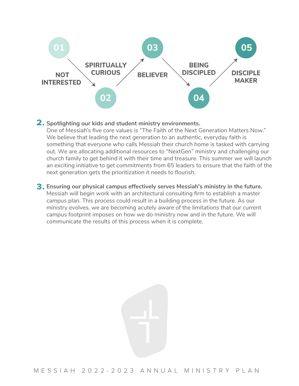

### **Spotlighting our kids and student ministry environments.**  2.

One of Messiah's five core values is "The Faith of the Next Generation Matters Now." We believe that leading the next generation to an authentic, everyday faith is something that *everyone* who calls Messiah their church home is tasked with carrying out. We are allocating additional resources to "NextGen" ministry and challenging our church family to get behind it with their time and treasure. This summer we will launch an exciting initiative to get commitments from 65 leaders to ensure that the faith of the next generation gets the prioritization it needs to flourish.

### **Ensuring our physical campus effectively serves Messiah's ministry in the future.** 3.

Messiah will begin work with an architectural consulting firm to establish a master campus plan. This process could result in a building process in the future. As our ministry evolves, we are becoming acutely aware of the limitations that our current campus footprint imposes on how we do ministry now and in the future. We will communicate the results of this process when it is complete.